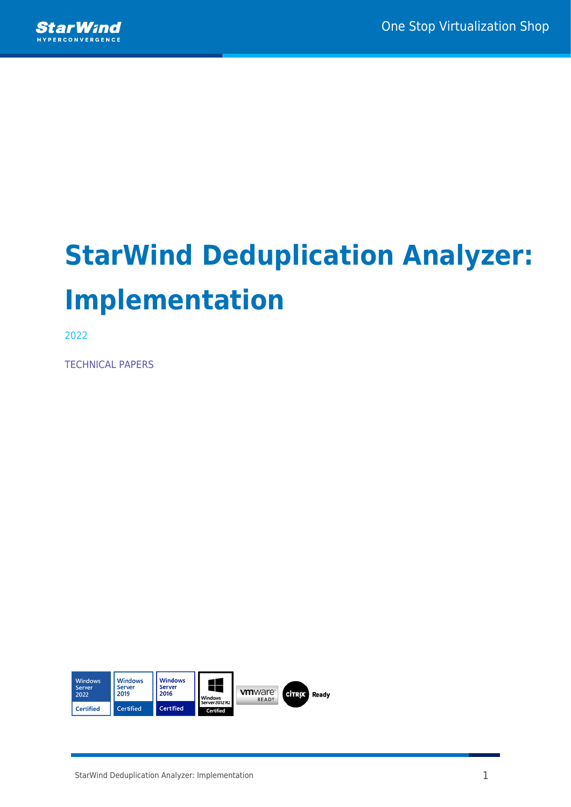

# **StarWind Deduplication Analyzer: Implementation**

2022

TECHNICAL PAPERS

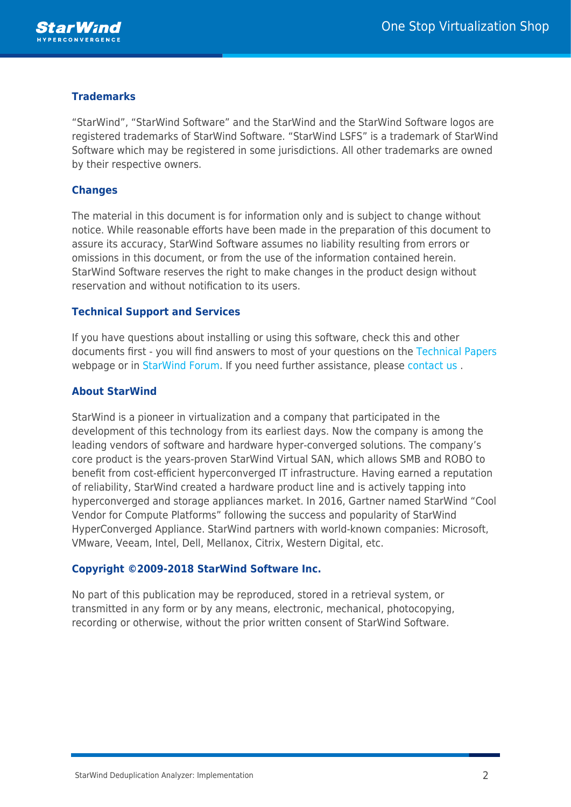

### **Trademarks**

"StarWind", "StarWind Software" and the StarWind and the StarWind Software logos are registered trademarks of StarWind Software. "StarWind LSFS" is a trademark of StarWind Software which may be registered in some jurisdictions. All other trademarks are owned by their respective owners.

#### **Changes**

The material in this document is for information only and is subject to change without notice. While reasonable efforts have been made in the preparation of this document to assure its accuracy, StarWind Software assumes no liability resulting from errors or omissions in this document, or from the use of the information contained herein. StarWind Software reserves the right to make changes in the product design without reservation and without notification to its users.

#### **Technical Support and Services**

If you have questions about installing or using this software, check this and other documents first - you will find answers to most of your questions on the [Technical Papers](https://www.starwind.com/resource-library) webpage or in [StarWind Forum](https://www.starwind.com/forums). If you need further assistance, please [contact us](https://www.starwind.com/contact-us) .

#### **About StarWind**

StarWind is a pioneer in virtualization and a company that participated in the development of this technology from its earliest days. Now the company is among the leading vendors of software and hardware hyper-converged solutions. The company's core product is the years-proven StarWind Virtual SAN, which allows SMB and ROBO to benefit from cost-efficient hyperconverged IT infrastructure. Having earned a reputation of reliability, StarWind created a hardware product line and is actively tapping into hyperconverged and storage appliances market. In 2016, Gartner named StarWind "Cool Vendor for Compute Platforms" following the success and popularity of StarWind HyperConverged Appliance. StarWind partners with world-known companies: Microsoft, VMware, Veeam, Intel, Dell, Mellanox, Citrix, Western Digital, etc.

#### **Copyright ©2009-2018 StarWind Software Inc.**

No part of this publication may be reproduced, stored in a retrieval system, or transmitted in any form or by any means, electronic, mechanical, photocopying, recording or otherwise, without the prior written consent of StarWind Software.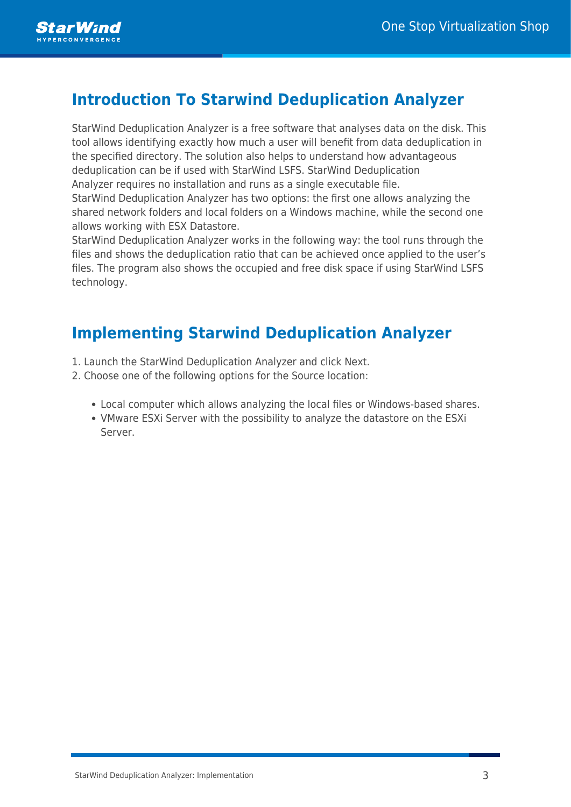

## **Introduction To Starwind Deduplication Analyzer**

StarWind Deduplication Analyzer is a free software that analyses data on the disk. This tool allows identifying exactly how much a user will benefit from data deduplication in the specified directory. The solution also helps to understand how advantageous deduplication can be if used with StarWind LSFS. StarWind Deduplication Analyzer requires no installation and runs as a single executable file.

StarWind Deduplication Analyzer has two options: the first one allows analyzing the shared network folders and local folders on a Windows machine, while the second one allows working with ESX Datastore.

StarWind Deduplication Analyzer works in the following way: the tool runs through the files and shows the deduplication ratio that can be achieved once applied to the user's files. The program also shows the occupied and free disk space if using StarWind LSFS technology.

## **Implementing Starwind Deduplication Analyzer**

- 1. Launch the StarWind Deduplication Analyzer and click Next.
- 2. Choose one of the following options for the Source location:
	- Local computer which allows analyzing the local files or Windows-based shares.
	- VMware ESXi Server with the possibility to analyze the datastore on the ESXi Server.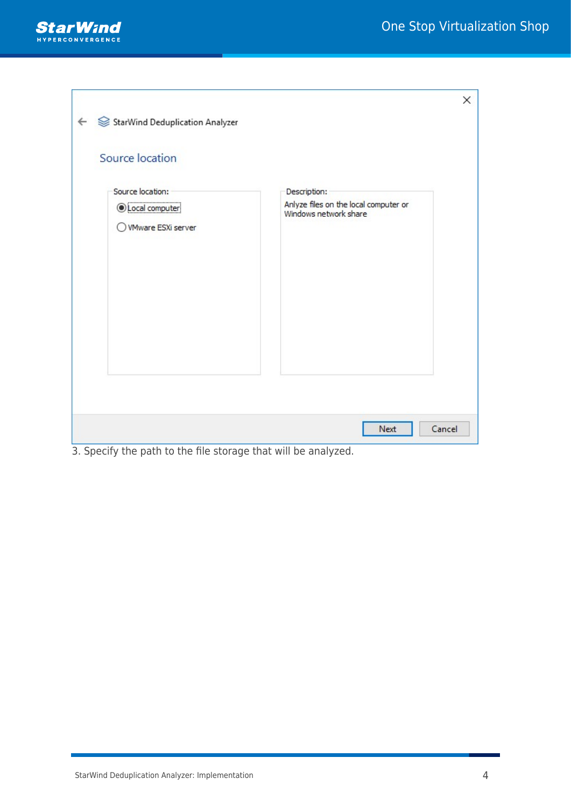

| StarWind Deduplication Analyzer<br>$\leftarrow$<br>Source location                                              | ×                                     |
|-----------------------------------------------------------------------------------------------------------------|---------------------------------------|
| Source location:                                                                                                | Description:                          |
| <i><b>OLocal computer</b></i>                                                                                   | Anlyze files on the local computer or |
| <b>VMware ESXi server</b>                                                                                       | Windows network share                 |
| $\mathbf{r} = \mathbf{r}$                                                                                       | Cancel                                |
| the contract of the contract of the contract of the contract of the contract of the contract of the contract of | Next                                  |

3. Specify the path to the file storage that will be analyzed.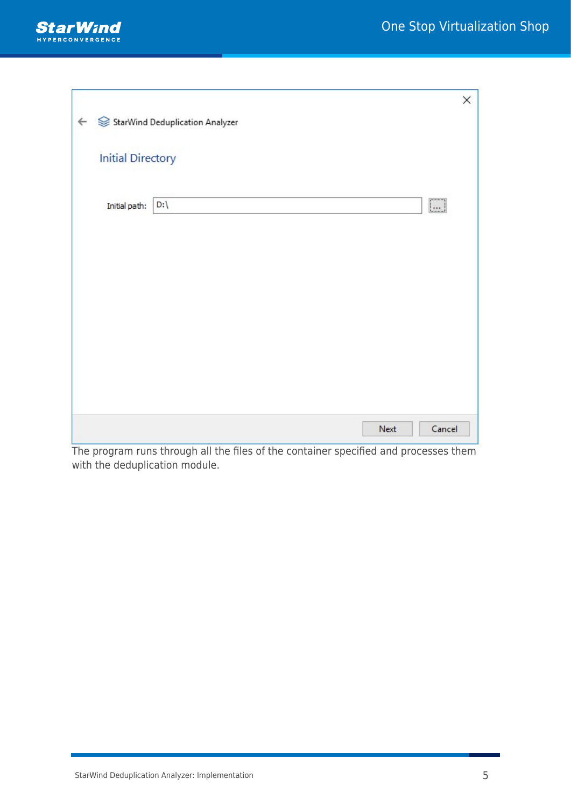

|               |                         | ×                                                                     |
|---------------|-------------------------|-----------------------------------------------------------------------|
|               |                         |                                                                       |
|               |                         |                                                                       |
|               |                         |                                                                       |
|               |                         |                                                                       |
| Initial path: | $\boxed{\ldots}$<br>D:\ |                                                                       |
|               |                         |                                                                       |
|               |                         |                                                                       |
|               |                         |                                                                       |
|               |                         |                                                                       |
|               |                         |                                                                       |
|               |                         |                                                                       |
|               |                         |                                                                       |
|               |                         |                                                                       |
|               |                         |                                                                       |
|               | Next                    |                                                                       |
|               |                         | StarWind Deduplication Analyzer<br><b>Initial Directory</b><br>Cancel |

The program runs through all the files of the container specified and processes them with the deduplication module.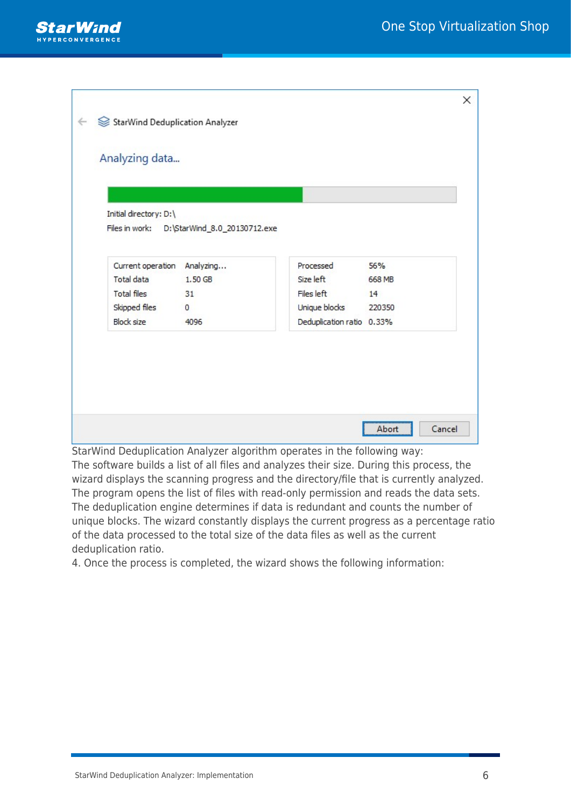

| Initial directory: D:\      |                                             |               |        |
|-----------------------------|---------------------------------------------|---------------|--------|
|                             | Files in work: D:\StarWind_8.0_20130712.exe |               |        |
| Current operation Analyzing |                                             | Processed     | 56%    |
| Total data                  | 1.50 GB                                     | Size left     | 668 MB |
| <b>Total files</b>          | 31                                          | Files left    | 14     |
|                             |                                             |               |        |
| Skipped files               | $\circ$                                     | Unique blocks | 220350 |

StarWind Deduplication Analyzer algorithm operates in the following way:

The software builds a list of all files and analyzes their size. During this process, the wizard displays the scanning progress and the directory/file that is currently analyzed. The program opens the list of files with read-only permission and reads the data sets. The deduplication engine determines if data is redundant and counts the number of unique blocks. The wizard constantly displays the current progress as a percentage ratio of the data processed to the total size of the data files as well as the current deduplication ratio.

4. Once the process is completed, the wizard shows the following information: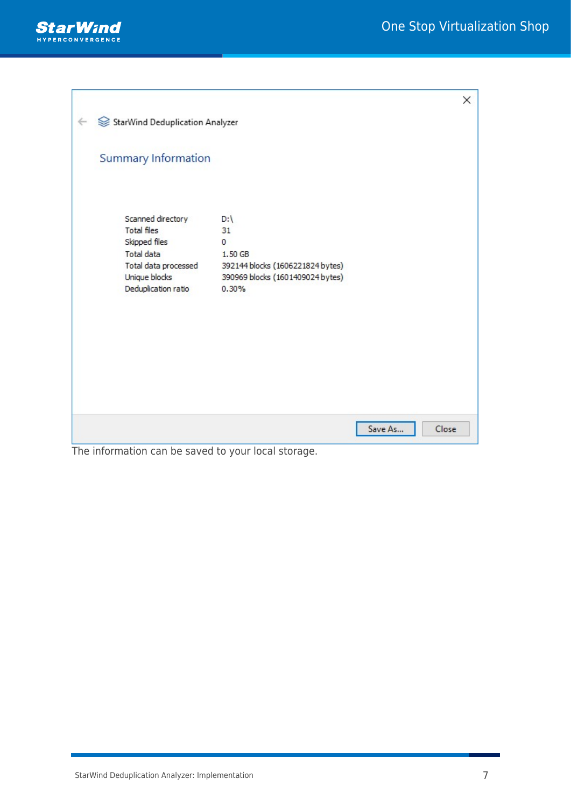

| StarWind Deduplication Analyzer<br>←<br><b>Summary Information</b><br>Scanned directory<br>D:\<br><b>Total files</b><br>31<br>Skipped files<br>$\mathbf{0}$<br>Total data<br>1.50 GB<br>Total data processed<br>392144 blocks (1606221824 bytes)<br>Unique blocks<br>390969 blocks (1601409024 bytes)<br>Deduplication ratio<br>0.30% | ×     |
|---------------------------------------------------------------------------------------------------------------------------------------------------------------------------------------------------------------------------------------------------------------------------------------------------------------------------------------|-------|
|                                                                                                                                                                                                                                                                                                                                       |       |
|                                                                                                                                                                                                                                                                                                                                       |       |
|                                                                                                                                                                                                                                                                                                                                       |       |
|                                                                                                                                                                                                                                                                                                                                       |       |
|                                                                                                                                                                                                                                                                                                                                       |       |
|                                                                                                                                                                                                                                                                                                                                       |       |
|                                                                                                                                                                                                                                                                                                                                       |       |
|                                                                                                                                                                                                                                                                                                                                       |       |
|                                                                                                                                                                                                                                                                                                                                       |       |
|                                                                                                                                                                                                                                                                                                                                       |       |
|                                                                                                                                                                                                                                                                                                                                       |       |
|                                                                                                                                                                                                                                                                                                                                       |       |
|                                                                                                                                                                                                                                                                                                                                       |       |
|                                                                                                                                                                                                                                                                                                                                       |       |
|                                                                                                                                                                                                                                                                                                                                       |       |
|                                                                                                                                                                                                                                                                                                                                       |       |
|                                                                                                                                                                                                                                                                                                                                       |       |
|                                                                                                                                                                                                                                                                                                                                       |       |
|                                                                                                                                                                                                                                                                                                                                       |       |
|                                                                                                                                                                                                                                                                                                                                       |       |
| Save As                                                                                                                                                                                                                                                                                                                               | Close |

The information can be saved to your local storage.